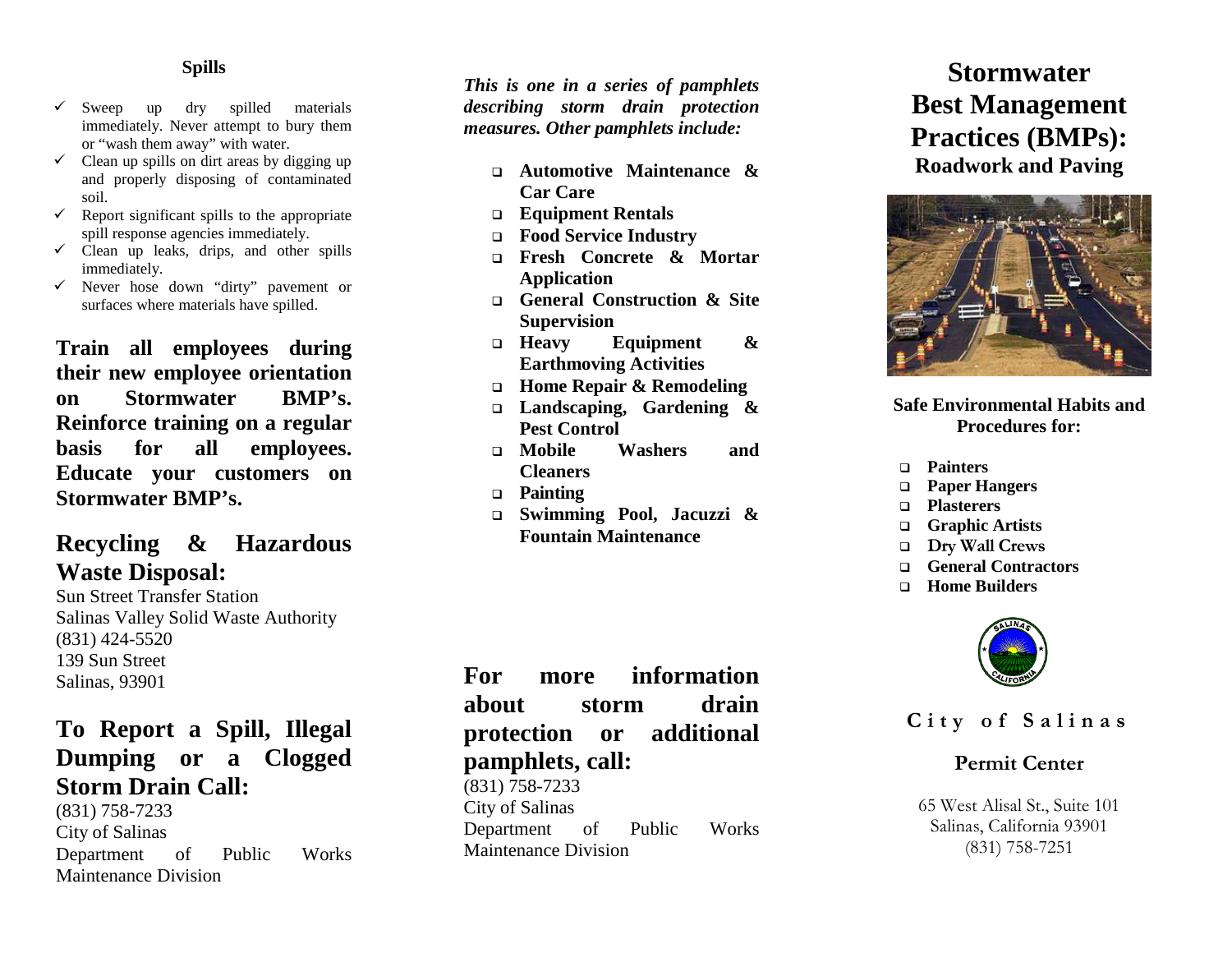#### **Spills**

- $\checkmark$  Sweep up dry spilled materials immediately. Never attempt to bury them or "wash them away" with water.
- $\checkmark$  Clean up spills on dirt areas by digging up and properly disposing of contaminated soil.
- $\checkmark$  Report significant spills to the appropriate spill response agencies immediately.
- $\checkmark$  Clean up leaks, drips, and other spills immediately.
- $\checkmark$  Never hose down "dirty" pavement or surfaces where materials have spilled.

**Train all employees during their new employee orientation on Stormwater BMP's. Reinforce training on a regular basis for all employees. Educate your customers on Stormwater BMP's.**

## **Recycling & Hazardous Waste Disposal:**

Sun Street Transfer Station Salinas Valley Solid Waste Authority (831) 424 -5520 139 Sun Street Salinas, 93901

# **To Report a Spill, Illegal Dumping or a Clogged Storm Drain Call:**

(831) 758 -7233 City of Salinas Department of Public Works Maintenance Division

*This is one in a series of pamphlets describing storm drain protection measures. Other pamphlets include:*

- **Automotive Maintenance & Car Care**
- **Equipment Rentals**
- **Food Service Industry**
- **Fresh Concrete & Mortar Application**
- **General Construction & Site Supervision**
- **Heavy Equipment & Earthmoving Activities**
- **Home Repair & Remodeling**
- **Landscaping, Gardening & Pest Control**
- **Mobile Washers and Cleaners**
- **Painting**
- **Swimming Pool, Jacuzzi & Fountain Maintenance**

**For more information about storm drain protection or additional pamphlets, call:**

(831) 758 -7233 City of Salinas Department of Public Works Maintenance Division

# **Stormwater Best Management Practices (BMPs): Roadwork and Paving**



### **Safe Environmental Habits and Procedures for:**

- **Painters**
- **Paper Hangers**
- **Plasterers**
- **Graphic Artists**
- **Dry Wall Crews**
- **General Contractors**
- **Home Builders**



## **City of Salinas**

## **Permit Center**

65 West Alisal St., Suite 101 Salinas, California 93901 (831) 758 -7251